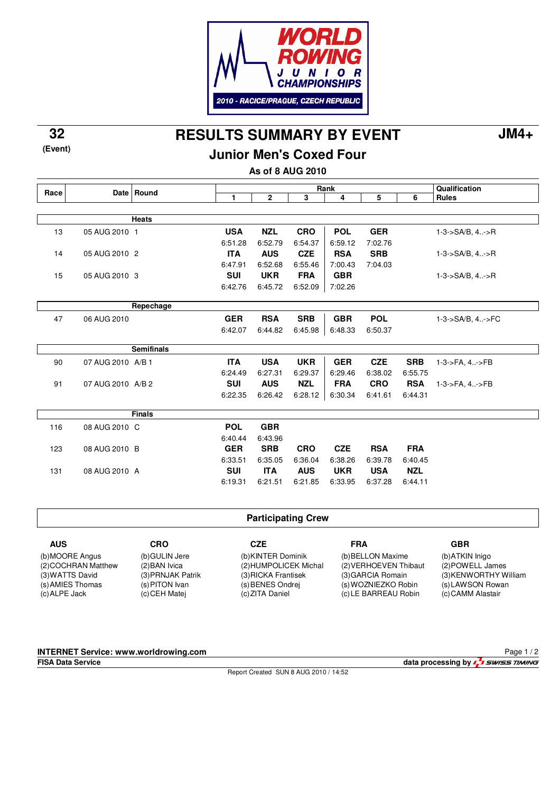

**RESULTS SUMMARY BY EVENT 32 JM4+**

## **Junior Men's Coxed Four**

**As of 8 AUG 2010**

|      |                   | Date Round        | Rank         |              |            |            |            |            | Qualification               |
|------|-------------------|-------------------|--------------|--------------|------------|------------|------------|------------|-----------------------------|
| Race |                   |                   | $\mathbf{1}$ | $\mathbf{2}$ | 3          | 4          | 5          | 6          | <b>Rules</b>                |
|      |                   |                   |              |              |            |            |            |            |                             |
|      |                   | <b>Heats</b>      |              |              |            |            |            |            |                             |
| 13   | 05 AUG 2010 1     |                   | <b>USA</b>   | <b>NZL</b>   | <b>CRO</b> | <b>POL</b> | <b>GER</b> |            | $1 - 3 - S A/B$ , $4 - S R$ |
|      |                   |                   | 6:51.28      | 6:52.79      | 6.54.37    | 6:59.12    | 7:02.76    |            |                             |
| 14   | 05 AUG 2010 2     |                   | <b>ITA</b>   | <b>AUS</b>   | <b>CZE</b> | <b>RSA</b> | <b>SRB</b> |            | $1 - 3 - S A/B$ , $4 - S R$ |
|      |                   |                   | 6:47.91      | 6:52.68      | 6:55.46    | 7:00.43    | 7:04.03    |            |                             |
| 15   | 05 AUG 2010 3     |                   | SUI          | <b>UKR</b>   | <b>FRA</b> | <b>GBR</b> |            |            | 1-3->SA/B, 4->R             |
|      |                   |                   | 6:42.76      | 6:45.72      | 6:52.09    | 7:02.26    |            |            |                             |
|      |                   |                   |              |              |            |            |            |            |                             |
|      |                   | Repechage         |              |              |            |            |            |            |                             |
| 47   | 06 AUG 2010       |                   | <b>GER</b>   | <b>RSA</b>   | <b>SRB</b> | <b>GBR</b> | <b>POL</b> |            | 1-3->SA/B, 4->FC            |
|      |                   |                   | 6:42.07      | 6:44.82      | 6:45.98    | 6:48.33    | 6:50.37    |            |                             |
|      |                   |                   |              |              |            |            |            |            |                             |
|      |                   | <b>Semifinals</b> |              |              |            |            |            |            |                             |
| 90   | 07 AUG 2010 A/B 1 |                   | <b>ITA</b>   | <b>USA</b>   | <b>UKR</b> | <b>GER</b> | <b>CZE</b> | <b>SRB</b> | 1-3->FA, 4->FB              |
|      |                   |                   | 6:24.49      | 6:27.31      | 6.29.37    | 6.29.46    | 6:38.02    | 6:55.75    |                             |
| 91   | 07 AUG 2010 A/B 2 |                   | <b>SUI</b>   | <b>AUS</b>   | <b>NZL</b> | <b>FRA</b> | <b>CRO</b> | <b>RSA</b> | 1-3->FA, 4->FB              |
|      |                   |                   | 6:22.35      | 6:26.42      | 6:28.12    | 6:30.34    | 6:41.61    | 6:44.31    |                             |
|      |                   |                   |              |              |            |            |            |            |                             |
|      |                   | <b>Finals</b>     |              |              |            |            |            |            |                             |
| 116  | 08 AUG 2010 C     |                   | <b>POL</b>   | <b>GBR</b>   |            |            |            |            |                             |
|      |                   |                   | 6:40.44      | 6:43.96      |            |            |            |            |                             |
| 123  | 08 AUG 2010 B     |                   | <b>GER</b>   | <b>SRB</b>   | <b>CRO</b> | <b>CZE</b> | <b>RSA</b> | <b>FRA</b> |                             |
|      |                   |                   | 6:33.51      | 6:35.05      | 6:36.04    | 6:38.26    | 6:39.78    | 6.40.45    |                             |
| 131  | 08 AUG 2010 A     |                   | <b>SUI</b>   | <b>ITA</b>   | <b>AUS</b> | <b>UKR</b> | <b>USA</b> | <b>NZL</b> |                             |
|      |                   |                   | 6:19.31      | 6:21.51      | 6:21.85    | 6:33.95    | 6:37.28    | 6:44.11    |                             |

#### **Participating Crew**

**CZE** (b) KINTER Dominik (2) HUMPOLICEK Michal (3) RICKA Frantisek (s) BENES Ondrej (c) ZITA Daniel

**FRA** (b) BELLON Maxime (2) VERHOEVEN Thibaut (3) GARCIA Romain (s) WOZNIEZKO Robin (c) LE BARREAU Robin

**GBR**

(b) ATKIN Inigo (2) POWELL James (3) KENWORTHY William (s) LAWSON Rowan (c) CAMM Alastair

#### **INTERNET Service: www.worldrowing.com**

**CRO** (b) GULIN Jere (2) BAN Ivica (3) PRNJAK Patrik (s) PITON Ivan (c) CEH Matej

**AUS** (b) MOORE Angus (2) COCHRAN Matthew (3) WATTS David (s) AMIES Thomas (c) ALPE Jack

**(Event)**

Report Created SUN 8 AUG 2010 / 14:52

Page 1 / 2

**FISA Data Service data processing by**  $\frac{7}{2}$  *swiss TIMING*